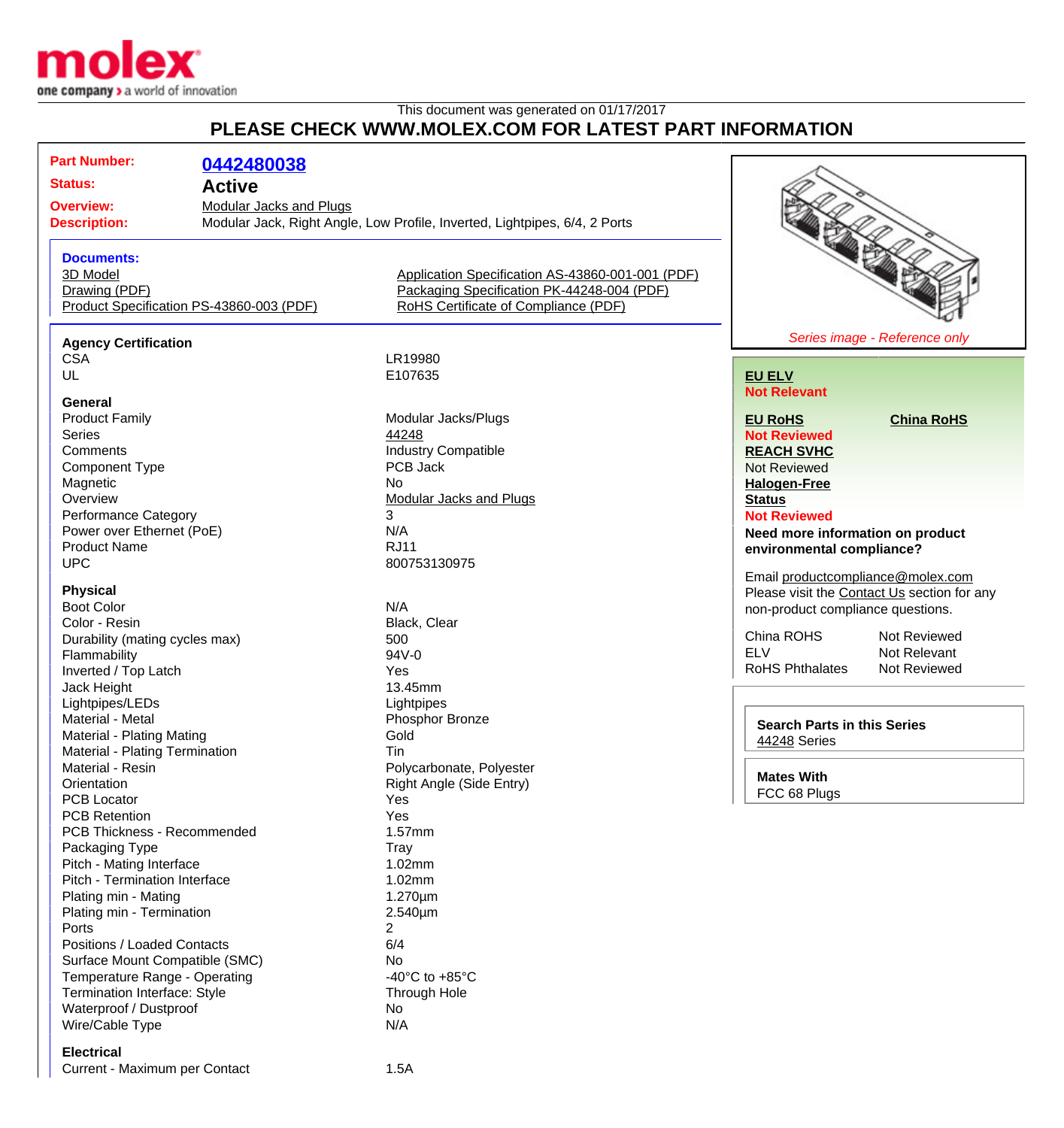

## This document was generated on 01/17/2017 **PLEASE CHECK WWW.MOLEX.COM FOR LATEST PART INFORMATION**

| <b>Part Number:</b>            | 0442480038                               |                                                                            |                                             |
|--------------------------------|------------------------------------------|----------------------------------------------------------------------------|---------------------------------------------|
| <b>Status:</b>                 | <b>Active</b>                            |                                                                            |                                             |
| <b>Overview:</b>               | <b>Modular Jacks and Plugs</b>           |                                                                            |                                             |
| <b>Description:</b>            |                                          | Modular Jack, Right Angle, Low Profile, Inverted, Lightpipes, 6/4, 2 Ports |                                             |
|                                |                                          |                                                                            |                                             |
| <b>Documents:</b>              |                                          |                                                                            |                                             |
| 3D Model                       |                                          | Application Specification AS-43860-001-001 (PDF)                           |                                             |
| Drawing (PDF)                  |                                          | Packaging Specification PK-44248-004 (PDF)                                 |                                             |
|                                | Product Specification PS-43860-003 (PDF) | RoHS Certificate of Compliance (PDF)                                       |                                             |
|                                |                                          |                                                                            |                                             |
| <b>Agency Certification</b>    |                                          |                                                                            | Series image - Reference only               |
| <b>CSA</b>                     |                                          | LR19980                                                                    |                                             |
| UL                             |                                          | E107635                                                                    | <b>EU ELV</b>                               |
|                                |                                          |                                                                            | <b>Not Relevant</b>                         |
| <b>General</b>                 |                                          |                                                                            |                                             |
| <b>Product Family</b>          |                                          | Modular Jacks/Plugs                                                        | <b>EU RoHS</b><br><b>China RoHS</b>         |
| <b>Series</b>                  |                                          | 44248                                                                      | <b>Not Reviewed</b>                         |
| Comments                       |                                          | <b>Industry Compatible</b>                                                 | <b>REACH SVHC</b>                           |
| <b>Component Type</b>          |                                          | PCB Jack                                                                   | <b>Not Reviewed</b>                         |
| Magnetic                       |                                          | <b>No</b>                                                                  | <b>Halogen-Free</b>                         |
| Overview                       |                                          | Modular Jacks and Plugs                                                    | <b>Status</b>                               |
| <b>Performance Category</b>    |                                          | 3                                                                          | <b>Not Reviewed</b>                         |
|                                |                                          | N/A                                                                        |                                             |
| Power over Ethernet (PoE)      |                                          |                                                                            | Need more information on product            |
| <b>Product Name</b>            |                                          | <b>RJ11</b>                                                                | environmental compliance?                   |
| <b>UPC</b>                     |                                          | 800753130975                                                               | Email productcompliance@molex.com           |
| <b>Physical</b>                |                                          |                                                                            | Please visit the Contact Us section for any |
| <b>Boot Color</b>              |                                          | N/A                                                                        |                                             |
| Color - Resin                  |                                          | Black, Clear                                                               | non-product compliance questions.           |
|                                |                                          |                                                                            | China ROHS<br>Not Reviewed                  |
| Durability (mating cycles max) |                                          | 500                                                                        | <b>ELV</b><br>Not Relevant                  |
| Flammability                   |                                          | 94V-0                                                                      | <b>RoHS Phthalates</b>                      |
| Inverted / Top Latch           |                                          | Yes                                                                        | Not Reviewed                                |
| Jack Height                    |                                          | 13.45mm                                                                    |                                             |
| Lightpipes/LEDs                |                                          | Lightpipes                                                                 |                                             |
| Material - Metal               |                                          | Phosphor Bronze                                                            | <b>Search Parts in this Series</b>          |
| Material - Plating Mating      |                                          | Gold                                                                       | 44248 Series                                |
| Material - Plating Termination |                                          | Tin                                                                        |                                             |
| Material - Resin               |                                          | Polycarbonate, Polyester                                                   |                                             |
| Orientation                    |                                          | Right Angle (Side Entry)                                                   | <b>Mates With</b>                           |
| <b>PCB Locator</b>             |                                          | Yes                                                                        | FCC 68 Plugs                                |
| <b>PCB Retention</b>           |                                          | Yes                                                                        |                                             |
| PCB Thickness - Recommended    |                                          | 1.57mm                                                                     |                                             |
|                                |                                          |                                                                            |                                             |
| Packaging Type                 |                                          | Tray                                                                       |                                             |
| Pitch - Mating Interface       |                                          | 1.02mm                                                                     |                                             |
| Pitch - Termination Interface  |                                          | 1.02mm                                                                     |                                             |
| Plating min - Mating           |                                          | 1.270um                                                                    |                                             |
| Plating min - Termination      |                                          | 2.540µm                                                                    |                                             |
| Ports                          |                                          | $\overline{2}$                                                             |                                             |
| Positions / Loaded Contacts    |                                          | 6/4                                                                        |                                             |
| Surface Mount Compatible (SMC) |                                          | No                                                                         |                                             |
| Temperature Range - Operating  |                                          | -40 $^{\circ}$ C to +85 $^{\circ}$ C                                       |                                             |
| Termination Interface: Style   |                                          | Through Hole                                                               |                                             |
| Waterproof / Dustproof         |                                          | No                                                                         |                                             |
| Wire/Cable Type                |                                          | N/A                                                                        |                                             |
|                                |                                          |                                                                            |                                             |
| <b>Electrical</b>              |                                          |                                                                            |                                             |

Current - Maximum per Contact 1.5A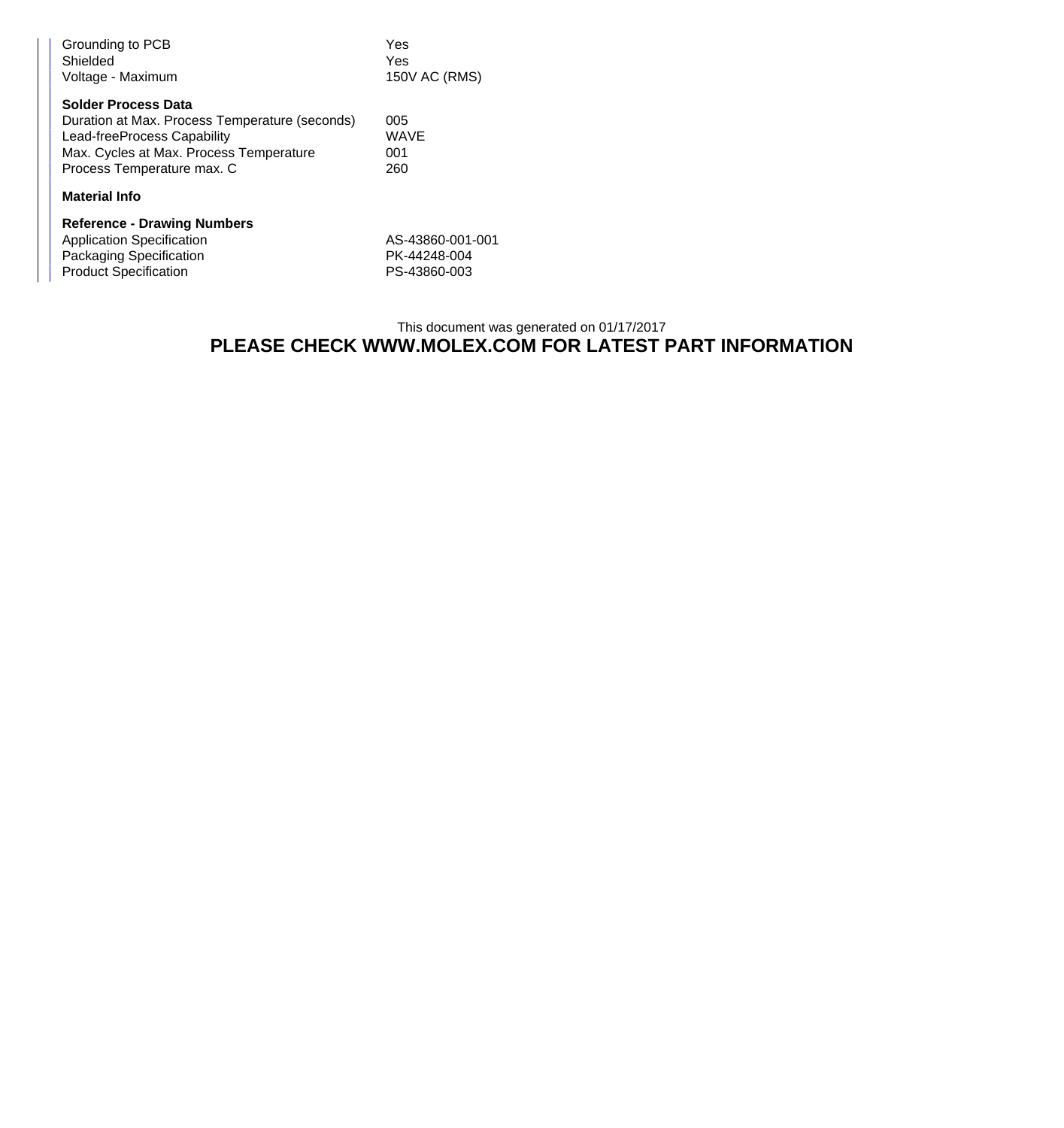| Grounding to PCB<br>Shielded<br>Voltage - Maximum                                                                                                                                    | Yes<br>Yes<br>150V AC (RMS)                      |  |  |
|--------------------------------------------------------------------------------------------------------------------------------------------------------------------------------------|--------------------------------------------------|--|--|
| <b>Solder Process Data</b><br>Duration at Max. Process Temperature (seconds)<br>Lead-freeProcess Capability<br>Max. Cycles at Max. Process Temperature<br>Process Temperature max. C | 005<br>WAVE<br>001<br>260                        |  |  |
| <b>Material Info</b>                                                                                                                                                                 |                                                  |  |  |
| <b>Reference - Drawing Numbers</b><br><b>Application Specification</b><br>Packaging Specification<br><b>Product Specification</b>                                                    | AS-43860-001-001<br>PK-44248-004<br>PS-43860-003 |  |  |

## This document was generated on 01/17/2017 **PLEASE CHECK WWW.MOLEX.COM FOR LATEST PART INFORMATION**